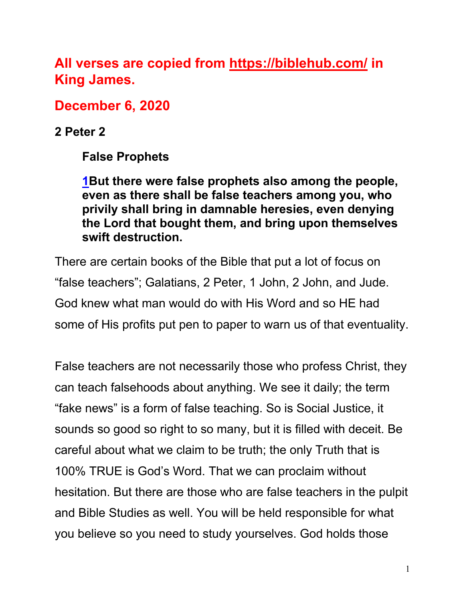**All verses are copied from https://biblehub.com/ in King James.** 

**December 6, 2020**

**2 Peter 2**

**False Prophets**

**1But there were false prophets also among the people, even as there shall be false teachers among you, who privily shall bring in damnable heresies, even denying the Lord that bought them, and bring upon themselves swift destruction.**

There are certain books of the Bible that put a lot of focus on "false teachers"; Galatians, 2 Peter, 1 John, 2 John, and Jude. God knew what man would do with His Word and so HE had some of His profits put pen to paper to warn us of that eventuality.

False teachers are not necessarily those who profess Christ, they can teach falsehoods about anything. We see it daily; the term "fake news" is a form of false teaching. So is Social Justice, it sounds so good so right to so many, but it is filled with deceit. Be careful about what we claim to be truth; the only Truth that is 100% TRUE is God's Word. That we can proclaim without hesitation. But there are those who are false teachers in the pulpit and Bible Studies as well. You will be held responsible for what you believe so you need to study yourselves. God holds those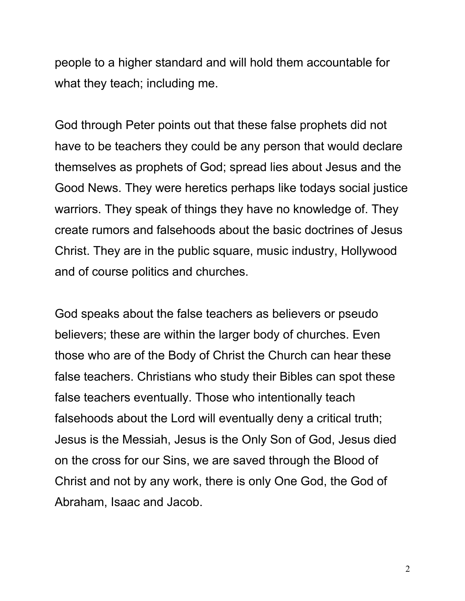people to a higher standard and will hold them accountable for what they teach; including me.

God through Peter points out that these false prophets did not have to be teachers they could be any person that would declare themselves as prophets of God; spread lies about Jesus and the Good News. They were heretics perhaps like todays social justice warriors. They speak of things they have no knowledge of. They create rumors and falsehoods about the basic doctrines of Jesus Christ. They are in the public square, music industry, Hollywood and of course politics and churches.

God speaks about the false teachers as believers or pseudo believers; these are within the larger body of churches. Even those who are of the Body of Christ the Church can hear these false teachers. Christians who study their Bibles can spot these false teachers eventually. Those who intentionally teach falsehoods about the Lord will eventually deny a critical truth; Jesus is the Messiah, Jesus is the Only Son of God, Jesus died on the cross for our Sins, we are saved through the Blood of Christ and not by any work, there is only One God, the God of Abraham, Isaac and Jacob.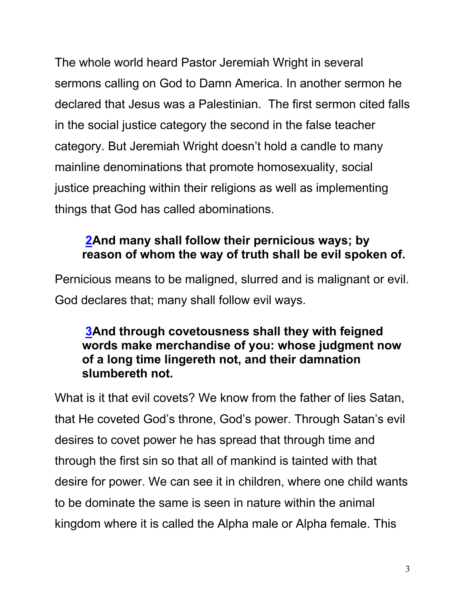The whole world heard Pastor Jeremiah Wright in several sermons calling on God to Damn America. In another sermon he declared that Jesus was a Palestinian. The first sermon cited falls in the social justice category the second in the false teacher category. But Jeremiah Wright doesn't hold a candle to many mainline denominations that promote homosexuality, social justice preaching within their religions as well as implementing things that God has called abominations.

## **2And many shall follow their pernicious ways; by reason of whom the way of truth shall be evil spoken of.**

Pernicious means to be maligned, slurred and is malignant or evil. God declares that; many shall follow evil ways.

### **3And through covetousness shall they with feigned words make merchandise of you: whose judgment now of a long time lingereth not, and their damnation slumbereth not.**

What is it that evil covets? We know from the father of lies Satan, that He coveted God's throne, God's power. Through Satan's evil desires to covet power he has spread that through time and through the first sin so that all of mankind is tainted with that desire for power. We can see it in children, where one child wants to be dominate the same is seen in nature within the animal kingdom where it is called the Alpha male or Alpha female. This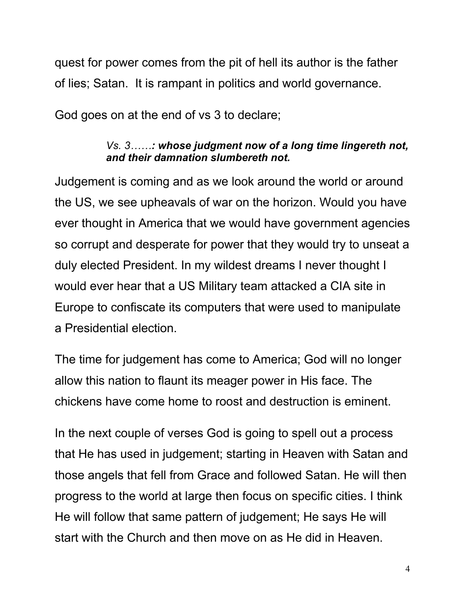quest for power comes from the pit of hell its author is the father of lies; Satan. It is rampant in politics and world governance.

God goes on at the end of vs 3 to declare;

#### *Vs. 3……: whose judgment now of a long time lingereth not, and their damnation slumbereth not.*

Judgement is coming and as we look around the world or around the US, we see upheavals of war on the horizon. Would you have ever thought in America that we would have government agencies so corrupt and desperate for power that they would try to unseat a duly elected President. In my wildest dreams I never thought I would ever hear that a US Military team attacked a CIA site in Europe to confiscate its computers that were used to manipulate a Presidential election.

The time for judgement has come to America; God will no longer allow this nation to flaunt its meager power in His face. The chickens have come home to roost and destruction is eminent.

In the next couple of verses God is going to spell out a process that He has used in judgement; starting in Heaven with Satan and those angels that fell from Grace and followed Satan. He will then progress to the world at large then focus on specific cities. I think He will follow that same pattern of judgement; He says He will start with the Church and then move on as He did in Heaven.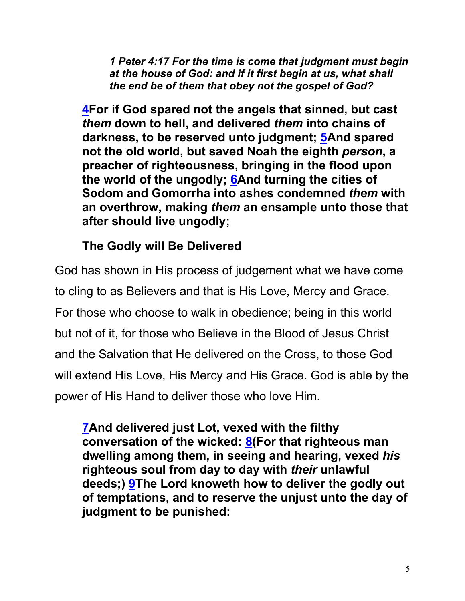*1 Peter 4:17 For the time is come that judgment must begin at the house of God: and if it first begin at us, what shall the end be of them that obey not the gospel of God?*

**4For if God spared not the angels that sinned, but cast**  *them* **down to hell, and delivered** *them* **into chains of darkness, to be reserved unto judgment; 5And spared not the old world, but saved Noah the eighth** *person***, a preacher of righteousness, bringing in the flood upon the world of the ungodly; 6And turning the cities of Sodom and Gomorrha into ashes condemned** *them* **with an overthrow, making** *them* **an ensample unto those that after should live ungodly;**

## **The Godly will Be Delivered**

God has shown in His process of judgement what we have come to cling to as Believers and that is His Love, Mercy and Grace. For those who choose to walk in obedience; being in this world but not of it, for those who Believe in the Blood of Jesus Christ and the Salvation that He delivered on the Cross, to those God will extend His Love, His Mercy and His Grace. God is able by the power of His Hand to deliver those who love Him.

**7And delivered just Lot, vexed with the filthy conversation of the wicked: 8(For that righteous man dwelling among them, in seeing and hearing, vexed** *his* **righteous soul from day to day with** *their* **unlawful deeds;) 9The Lord knoweth how to deliver the godly out of temptations, and to reserve the unjust unto the day of judgment to be punished:**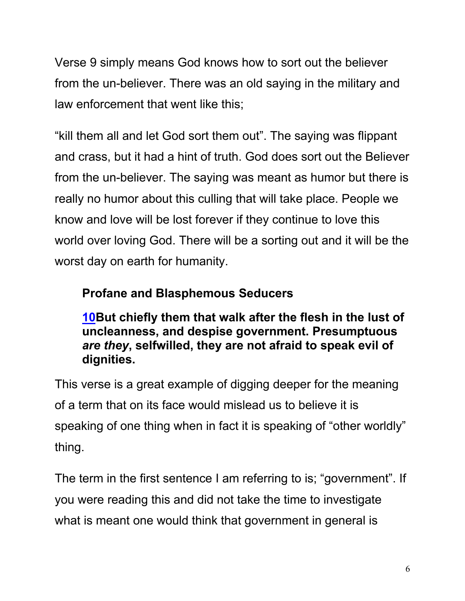Verse 9 simply means God knows how to sort out the believer from the un-believer. There was an old saying in the military and law enforcement that went like this;

"kill them all and let God sort them out". The saying was flippant and crass, but it had a hint of truth. God does sort out the Believer from the un-believer. The saying was meant as humor but there is really no humor about this culling that will take place. People we know and love will be lost forever if they continue to love this world over loving God. There will be a sorting out and it will be the worst day on earth for humanity.

## **Profane and Blasphemous Seducers**

**10But chiefly them that walk after the flesh in the lust of uncleanness, and despise government. Presumptuous**  *are they***, selfwilled, they are not afraid to speak evil of dignities.**

This verse is a great example of digging deeper for the meaning of a term that on its face would mislead us to believe it is speaking of one thing when in fact it is speaking of "other worldly" thing.

The term in the first sentence I am referring to is; "government". If you were reading this and did not take the time to investigate what is meant one would think that government in general is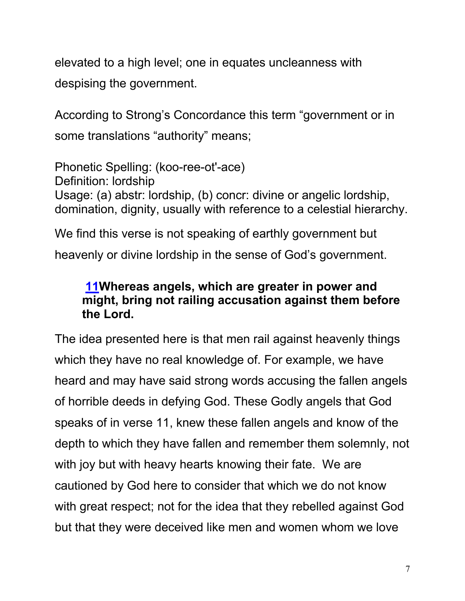elevated to a high level; one in equates uncleanness with despising the government.

According to Strong's Concordance this term "government or in some translations "authority" means;

Phonetic Spelling: (koo-ree-ot'-ace) Definition: lordship Usage: (a) abstr: lordship, (b) concr: divine or angelic lordship, domination, dignity, usually with reference to a celestial hierarchy.

We find this verse is not speaking of earthly government but heavenly or divine lordship in the sense of God's government.

### **11Whereas angels, which are greater in power and might, bring not railing accusation against them before the Lord.**

The idea presented here is that men rail against heavenly things which they have no real knowledge of. For example, we have heard and may have said strong words accusing the fallen angels of horrible deeds in defying God. These Godly angels that God speaks of in verse 11, knew these fallen angels and know of the depth to which they have fallen and remember them solemnly, not with joy but with heavy hearts knowing their fate. We are cautioned by God here to consider that which we do not know with great respect; not for the idea that they rebelled against God but that they were deceived like men and women whom we love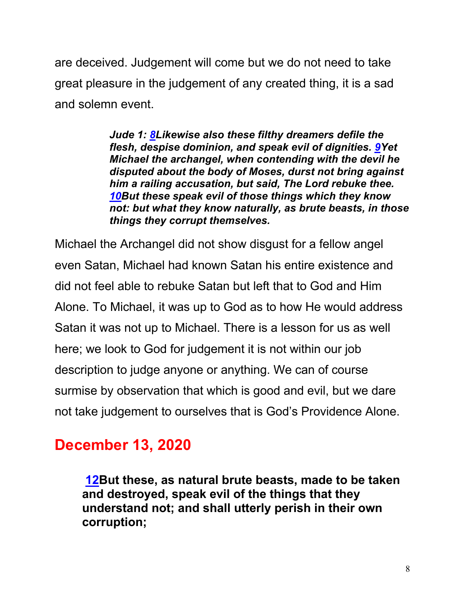are deceived. Judgement will come but we do not need to take great pleasure in the judgement of any created thing, it is a sad and solemn event.

> *Jude 1: 8Likewise also these filthy dreamers defile the flesh, despise dominion, and speak evil of dignities. 9Yet Michael the archangel, when contending with the devil he disputed about the body of Moses, durst not bring against him a railing accusation, but said, The Lord rebuke thee. 10But these speak evil of those things which they know not: but what they know naturally, as brute beasts, in those things they corrupt themselves.*

Michael the Archangel did not show disgust for a fellow angel even Satan, Michael had known Satan his entire existence and did not feel able to rebuke Satan but left that to God and Him Alone. To Michael, it was up to God as to how He would address Satan it was not up to Michael. There is a lesson for us as well here; we look to God for judgement it is not within our job description to judge anyone or anything. We can of course surmise by observation that which is good and evil, but we dare not take judgement to ourselves that is God's Providence Alone.

# **December 13, 2020**

**12But these, as natural brute beasts, made to be taken and destroyed, speak evil of the things that they understand not; and shall utterly perish in their own corruption;**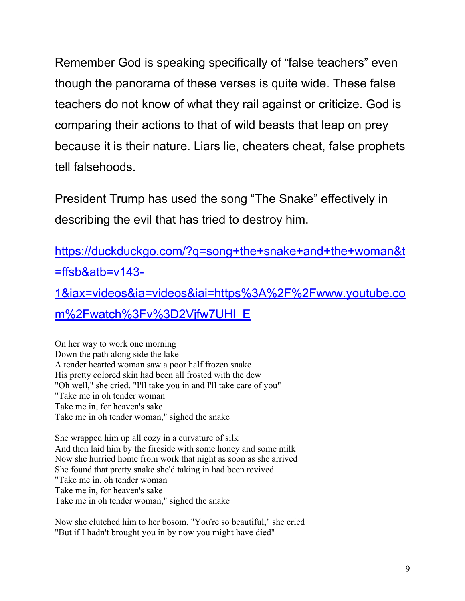Remember God is speaking specifically of "false teachers" even though the panorama of these verses is quite wide. These false teachers do not know of what they rail against or criticize. God is comparing their actions to that of wild beasts that leap on prey because it is their nature. Liars lie, cheaters cheat, false prophets tell falsehoods.

President Trump has used the song "The Snake" effectively in describing the evil that has tried to destroy him.

https://duckduckgo.com/?q=song+the+snake+and+the+woman&t =ffsb&atb=v143- 1&iax=videos&ia=videos&iai=https%3A%2F%2Fwww.youtube.co m%2Fwatch%3Fv%3D2Vjfw7UHl\_E

On her way to work one morning Down the path along side the lake A tender hearted woman saw a poor half frozen snake His pretty colored skin had been all frosted with the dew "Oh well," she cried, "I'll take you in and I'll take care of you" "Take me in oh tender woman Take me in, for heaven's sake Take me in oh tender woman," sighed the snake

She wrapped him up all cozy in a curvature of silk And then laid him by the fireside with some honey and some milk Now she hurried home from work that night as soon as she arrived She found that pretty snake she'd taking in had been revived "Take me in, oh tender woman Take me in, for heaven's sake Take me in oh tender woman," sighed the snake

Now she clutched him to her bosom, "You're so beautiful," she cried "But if I hadn't brought you in by now you might have died"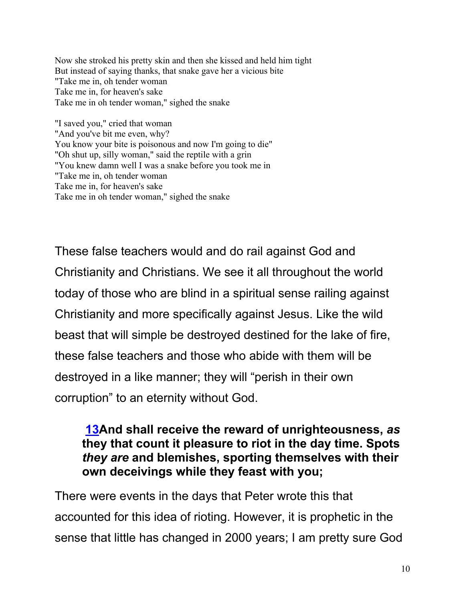Now she stroked his pretty skin and then she kissed and held him tight But instead of saying thanks, that snake gave her a vicious bite "Take me in, oh tender woman Take me in, for heaven's sake Take me in oh tender woman," sighed the snake

"I saved you," cried that woman "And you've bit me even, why? You know your bite is poisonous and now I'm going to die" "Oh shut up, silly woman," said the reptile with a grin "You knew damn well I was a snake before you took me in "Take me in, oh tender woman Take me in, for heaven's sake Take me in oh tender woman," sighed the snake

These false teachers would and do rail against God and Christianity and Christians. We see it all throughout the world today of those who are blind in a spiritual sense railing against Christianity and more specifically against Jesus. Like the wild beast that will simple be destroyed destined for the lake of fire, these false teachers and those who abide with them will be destroyed in a like manner; they will "perish in their own corruption" to an eternity without God.

### **13And shall receive the reward of unrighteousness,** *as* **they that count it pleasure to riot in the day time. Spots**  *they are* **and blemishes, sporting themselves with their own deceivings while they feast with you;**

There were events in the days that Peter wrote this that accounted for this idea of rioting. However, it is prophetic in the sense that little has changed in 2000 years; I am pretty sure God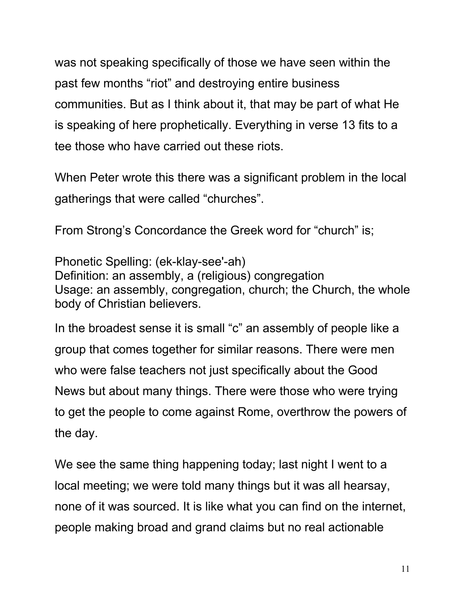was not speaking specifically of those we have seen within the past few months "riot" and destroying entire business communities. But as I think about it, that may be part of what He is speaking of here prophetically. Everything in verse 13 fits to a tee those who have carried out these riots.

When Peter wrote this there was a significant problem in the local gatherings that were called "churches".

From Strong's Concordance the Greek word for "church" is;

Phonetic Spelling: (ek-klay-see'-ah) Definition: an assembly, a (religious) congregation Usage: an assembly, congregation, church; the Church, the whole body of Christian believers.

In the broadest sense it is small "c" an assembly of people like a group that comes together for similar reasons. There were men who were false teachers not just specifically about the Good News but about many things. There were those who were trying to get the people to come against Rome, overthrow the powers of the day.

We see the same thing happening today; last night I went to a local meeting; we were told many things but it was all hearsay, none of it was sourced. It is like what you can find on the internet, people making broad and grand claims but no real actionable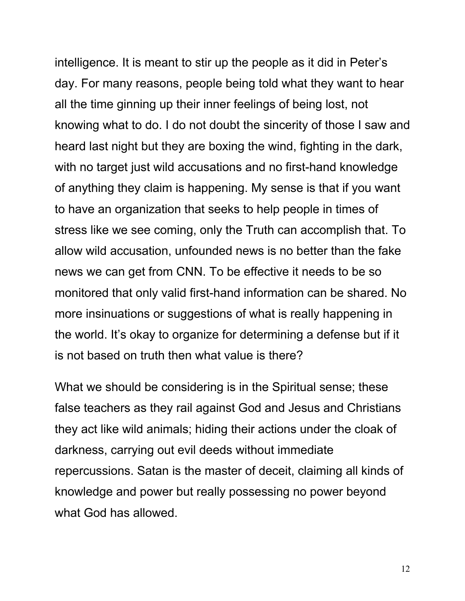intelligence. It is meant to stir up the people as it did in Peter's day. For many reasons, people being told what they want to hear all the time ginning up their inner feelings of being lost, not knowing what to do. I do not doubt the sincerity of those I saw and heard last night but they are boxing the wind, fighting in the dark, with no target just wild accusations and no first-hand knowledge of anything they claim is happening. My sense is that if you want to have an organization that seeks to help people in times of stress like we see coming, only the Truth can accomplish that. To allow wild accusation, unfounded news is no better than the fake news we can get from CNN. To be effective it needs to be so monitored that only valid first-hand information can be shared. No more insinuations or suggestions of what is really happening in the world. It's okay to organize for determining a defense but if it is not based on truth then what value is there?

What we should be considering is in the Spiritual sense; these false teachers as they rail against God and Jesus and Christians they act like wild animals; hiding their actions under the cloak of darkness, carrying out evil deeds without immediate repercussions. Satan is the master of deceit, claiming all kinds of knowledge and power but really possessing no power beyond what God has allowed.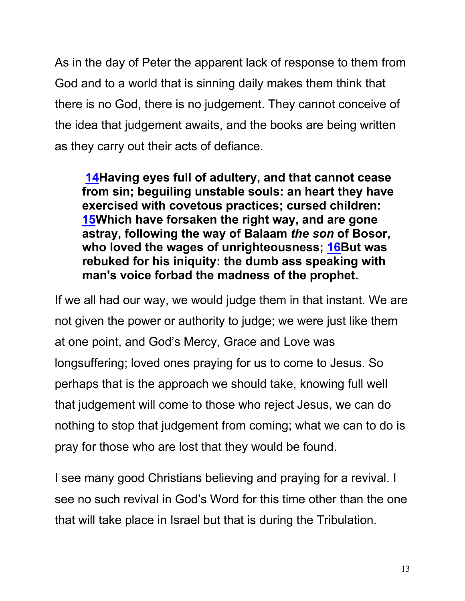As in the day of Peter the apparent lack of response to them from God and to a world that is sinning daily makes them think that there is no God, there is no judgement. They cannot conceive of the idea that judgement awaits, and the books are being written as they carry out their acts of defiance.

**14Having eyes full of adultery, and that cannot cease from sin; beguiling unstable souls: an heart they have exercised with covetous practices; cursed children: 15Which have forsaken the right way, and are gone astray, following the way of Balaam** *the son* **of Bosor, who loved the wages of unrighteousness; 16But was rebuked for his iniquity: the dumb ass speaking with man's voice forbad the madness of the prophet.**

If we all had our way, we would judge them in that instant. We are not given the power or authority to judge; we were just like them at one point, and God's Mercy, Grace and Love was longsuffering; loved ones praying for us to come to Jesus. So perhaps that is the approach we should take, knowing full well that judgement will come to those who reject Jesus, we can do nothing to stop that judgement from coming; what we can to do is pray for those who are lost that they would be found.

I see many good Christians believing and praying for a revival. I see no such revival in God's Word for this time other than the one that will take place in Israel but that is during the Tribulation.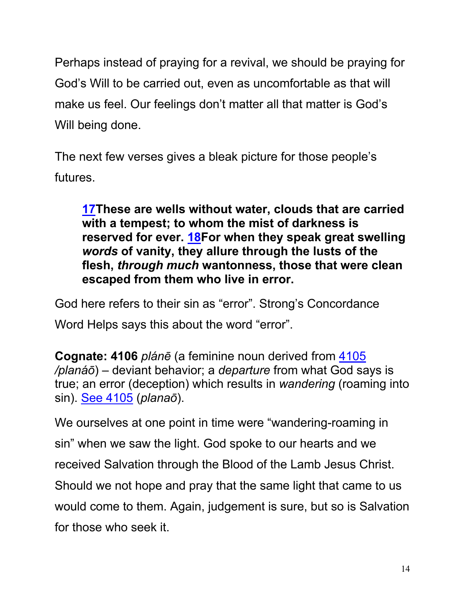Perhaps instead of praying for a revival, we should be praying for God's Will to be carried out, even as uncomfortable as that will make us feel. Our feelings don't matter all that matter is God's Will being done.

The next few verses gives a bleak picture for those people's futures.

**17These are wells without water, clouds that are carried with a tempest; to whom the mist of darkness is reserved for ever. 18For when they speak great swelling**  *words* **of vanity, they allure through the lusts of the flesh,** *through much* **wantonness, those that were clean escaped from them who live in error.**

God here refers to their sin as "error". Strong's Concordance Word Helps says this about the word "error".

**Cognate: 4106** *plánē* (a feminine noun derived from 4105 */planáō*) – deviant behavior; a *departure* from what God says is true; an error (deception) which results in *wandering* (roaming into sin). See 4105 (*planaō*).

We ourselves at one point in time were "wandering-roaming in sin" when we saw the light. God spoke to our hearts and we received Salvation through the Blood of the Lamb Jesus Christ. Should we not hope and pray that the same light that came to us would come to them. Again, judgement is sure, but so is Salvation for those who seek it.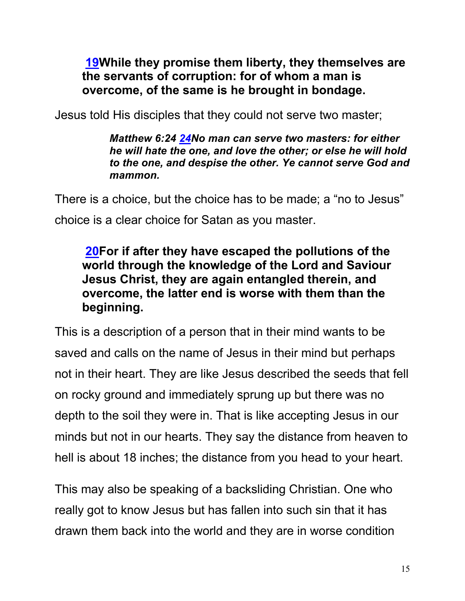### **19While they promise them liberty, they themselves are the servants of corruption: for of whom a man is overcome, of the same is he brought in bondage.**

Jesus told His disciples that they could not serve two master;

*Matthew 6:24 24No man can serve two masters: for either he will hate the one, and love the other; or else he will hold to the one, and despise the other. Ye cannot serve God and mammon.*

There is a choice, but the choice has to be made; a "no to Jesus" choice is a clear choice for Satan as you master.

### **20For if after they have escaped the pollutions of the world through the knowledge of the Lord and Saviour Jesus Christ, they are again entangled therein, and overcome, the latter end is worse with them than the beginning.**

This is a description of a person that in their mind wants to be saved and calls on the name of Jesus in their mind but perhaps not in their heart. They are like Jesus described the seeds that fell on rocky ground and immediately sprung up but there was no depth to the soil they were in. That is like accepting Jesus in our minds but not in our hearts. They say the distance from heaven to hell is about 18 inches; the distance from you head to your heart.

This may also be speaking of a backsliding Christian. One who really got to know Jesus but has fallen into such sin that it has drawn them back into the world and they are in worse condition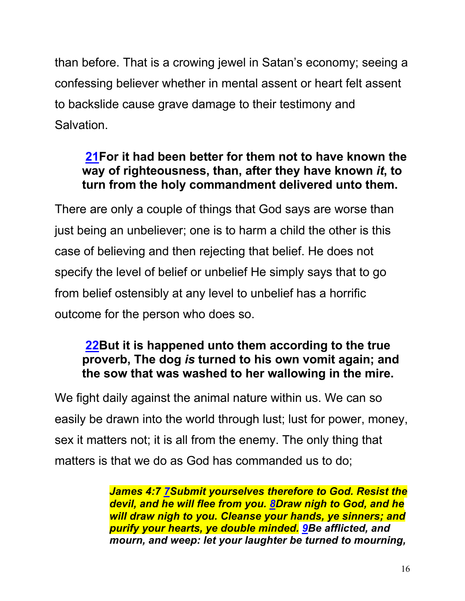than before. That is a crowing jewel in Satan's economy; seeing a confessing believer whether in mental assent or heart felt assent to backslide cause grave damage to their testimony and Salvation.

### **21For it had been better for them not to have known the way of righteousness, than, after they have known** *it***, to turn from the holy commandment delivered unto them.**

There are only a couple of things that God says are worse than just being an unbeliever; one is to harm a child the other is this case of believing and then rejecting that belief. He does not specify the level of belief or unbelief He simply says that to go from belief ostensibly at any level to unbelief has a horrific outcome for the person who does so.

### **22But it is happened unto them according to the true proverb, The dog** *is* **turned to his own vomit again; and the sow that was washed to her wallowing in the mire.**

We fight daily against the animal nature within us. We can so easily be drawn into the world through lust; lust for power, money, sex it matters not; it is all from the enemy. The only thing that matters is that we do as God has commanded us to do;

> *James 4:7 7Submit yourselves therefore to God. Resist the devil, and he will flee from you. 8Draw nigh to God, and he will draw nigh to you. Cleanse your hands, ye sinners; and purify your hearts, ye double minded. 9Be afflicted, and mourn, and weep: let your laughter be turned to mourning,*